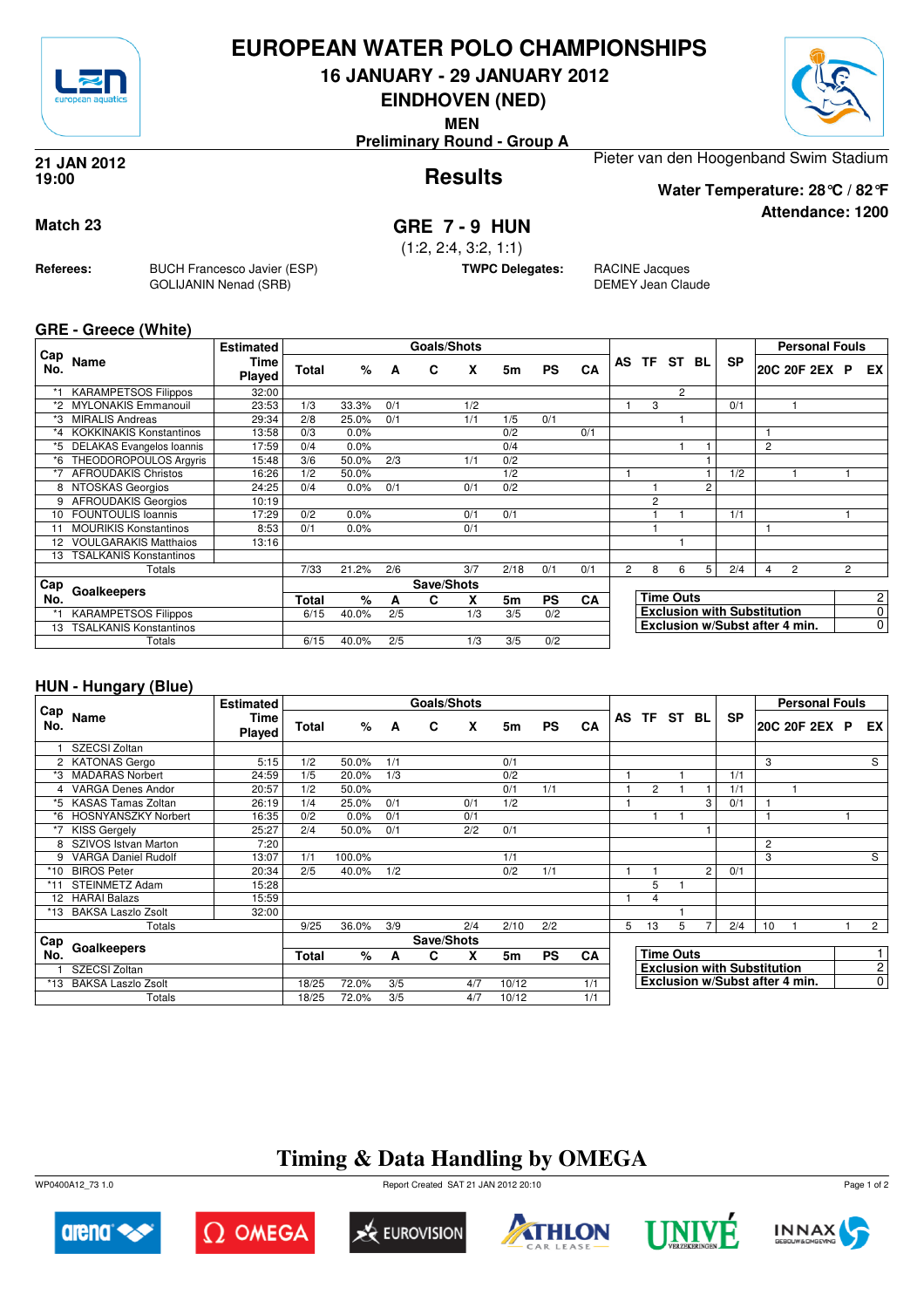

### **EUROPEAN WATER POLO CHAMPIONSHIPS**

**16 JANUARY - 29 JANUARY 2012**

**EINDHOVEN (NED)**

**MEN**

**Preliminary Round - Group A**





**Attendance: 1200**

**Results 21 JAN 2012 19:00**

Pieter van den Hoogenband Swim Stadium

**Water Temperature: 28°C / 82°F**

**Match 23 GRE 7 - 9 HUN**

(1:2, 2:4, 3:2, 1:1)

**TWPC Delegates:** RACINE Jacques

DEMEY Jean Claude

**GRE - Greece (White)**

**Referees:** BUCH Francesco Javier (ESP)

GOLIJANIN Nenad (SRB)

| Cap     |                                | <b>Estimated</b> |       |         |     | Goals/Shots |     |      |           |     |                |                |                  |    |                                    |   | <b>Personal Fouls</b>          |                |                |
|---------|--------------------------------|------------------|-------|---------|-----|-------------|-----|------|-----------|-----|----------------|----------------|------------------|----|------------------------------------|---|--------------------------------|----------------|----------------|
| No.     | Name                           | Time<br>Played   | Total | $\%$    | A   | C           | x   | 5m   | <b>PS</b> | CA  | AS.            | TF<br>ST       |                  | BL | <b>SP</b>                          |   | 20C 20F 2EX                    | <b>P</b>       | EX             |
| *1      | <b>KARAMPETSOS Filippos</b>    | 32:00            |       |         |     |             |     |      |           |     |                |                | $\overline{2}$   |    |                                    |   |                                |                |                |
|         | <b>MYLONAKIS Emmanouil</b>     | 23:53            | 1/3   | 33.3%   | 0/1 |             | 1/2 |      |           |     |                | 3              |                  |    | 0/1                                |   |                                |                |                |
| *3      | <b>MIRALIS Andreas</b>         | 29:34            | 2/8   | 25.0%   | 0/1 |             | 1/1 | 1/5  | 0/1       |     |                |                |                  |    |                                    |   |                                |                |                |
| $*_{4}$ | <b>KOKKINAKIS Konstantinos</b> | 13:58            | 0/3   | 0.0%    |     |             |     | 0/2  |           | 0/1 |                |                |                  |    |                                    |   |                                |                |                |
| *5      | DELAKAS Evangelos Ioannis      | 17:59            | 0/4   | 0.0%    |     |             |     | 0/4  |           |     |                |                |                  |    |                                    | 2 |                                |                |                |
| *6      | THEODOROPOULOS Argyris         | 15:48            | 3/6   | 50.0%   | 2/3 |             | 1/1 | 0/2  |           |     |                |                |                  |    |                                    |   |                                |                |                |
| *7      | <b>AFROUDAKIS Christos</b>     | 16:26            | 1/2   | 50.0%   |     |             |     | 1/2  |           |     |                |                |                  |    | 1/2                                |   |                                |                |                |
| 8       | NTOSKAS Georgios               | 24:25            | 0/4   | $0.0\%$ | 0/1 |             | 0/1 | 0/2  |           |     |                |                |                  |    |                                    |   |                                |                |                |
| 9       | <b>AFROUDAKIS Georgios</b>     | 10:19            |       |         |     |             |     |      |           |     |                | $\overline{c}$ |                  |    |                                    |   |                                |                |                |
| 10      | <b>FOUNTOULIS Ioannis</b>      | 17:29            | 0/2   | 0.0%    |     |             | 0/1 | 0/1  |           |     |                |                |                  |    | 1/1                                |   |                                |                |                |
| 11      | <b>MOURIKIS Konstantinos</b>   | 8:53             | 0/1   | 0.0%    |     |             | 0/1 |      |           |     |                |                |                  |    |                                    |   |                                |                |                |
|         | <b>VOULGARAKIS Matthaios</b>   | 13:16            |       |         |     |             |     |      |           |     |                |                |                  |    |                                    |   |                                |                |                |
| 13      | <b>TSALKANIS Konstantinos</b>  |                  |       |         |     |             |     |      |           |     |                |                |                  |    |                                    |   |                                |                |                |
|         | Totals                         |                  | 7/33  | 21.2%   | 2/6 |             | 3/7 | 2/18 | 0/1       | 0/1 | $\overline{2}$ | 8              | 6                | 5  | 2/4                                | 4 | $\overline{2}$                 | $\overline{c}$ |                |
| Cap     | Goalkeepers                    |                  |       |         |     | Save/Shots  |     |      |           |     |                |                |                  |    |                                    |   |                                |                |                |
| No.     |                                |                  | Total | %       | А   | C           | x   | 5m   | <b>PS</b> | CA  |                |                | <b>Time Outs</b> |    |                                    |   |                                |                | 2              |
|         | <b>KARAMPETSOS Filippos</b>    |                  | 6/15  | 40.0%   | 2/5 |             | 1/3 | 3/5  | 0/2       |     |                |                |                  |    | <b>Exclusion with Substitution</b> |   |                                |                | 0              |
| 13      | <b>TSALKANIS Konstantinos</b>  |                  |       |         |     |             |     |      |           |     |                |                |                  |    |                                    |   | Exclusion w/Subst after 4 min. |                | $\overline{0}$ |
|         | Totals                         |                  | 6/15  | 40.0%   | 2/5 |             | 1/3 | 3/5  | 0/2       |     |                |                |                  |    |                                    |   |                                |                |                |

#### **HUN - Hungary (Blue)**

|            |                            | <b>Estimated</b>      |       |        |     | Goals/Shots |     |       |           |           |   |                |                  |   |                                    |                | <b>Personal Fouls</b> |                |
|------------|----------------------------|-----------------------|-------|--------|-----|-------------|-----|-------|-----------|-----------|---|----------------|------------------|---|------------------------------------|----------------|-----------------------|----------------|
| Cap<br>No. | Name                       | <b>Time</b><br>Played | Total | %      | A   | C           | X   | 5m    | <b>PS</b> | CA        |   | AS TF ST BL    |                  |   | <b>SP</b>                          |                | 20C 20F 2EX P         | EX.            |
|            | SZECSI Zoltan              |                       |       |        |     |             |     |       |           |           |   |                |                  |   |                                    |                |                       |                |
|            | 2 KATONAS Gergo            | 5:15                  | 1/2   | 50.0%  | 1/1 |             |     | 0/1   |           |           |   |                |                  |   |                                    | 3              |                       | S              |
| *3         | <b>MADARAS Norbert</b>     | 24:59                 | 1/5   | 20.0%  | 1/3 |             |     | 0/2   |           |           |   |                |                  |   | 1/1                                |                |                       |                |
|            | <b>VARGA Denes Andor</b>   | 20:57                 | 1/2   | 50.0%  |     |             |     | 0/1   | 1/1       |           |   | $\overline{2}$ |                  |   | 1/1                                |                |                       |                |
| *5         | <b>KASAS Tamas Zoltan</b>  | 26:19                 | 1/4   | 25.0%  | 0/1 |             | 0/1 | 1/2   |           |           |   |                |                  | 3 | 0/1                                |                |                       |                |
| *6         | <b>HOSNYANSZKY Norbert</b> | 16:35                 | 0/2   | 0.0%   | 0/1 |             | 0/1 |       |           |           |   |                |                  |   |                                    |                |                       |                |
|            | <b>KISS Gergely</b>        | 25:27                 | 2/4   | 50.0%  | 0/1 |             | 2/2 | 0/1   |           |           |   |                |                  |   |                                    |                |                       |                |
|            | SZIVOS Istvan Marton       | 7:20                  |       |        |     |             |     |       |           |           |   |                |                  |   |                                    | $\overline{c}$ |                       |                |
| 9          | <b>VARGA Daniel Rudolf</b> | 13:07                 | 1/1   | 100.0% |     |             |     | 1/1   |           |           |   |                |                  |   |                                    | 3              |                       | $\overline{s}$ |
| *10        | <b>BIROS Peter</b>         | 20:34                 | 2/5   | 40.0%  | 1/2 |             |     | 0/2   | 1/1       |           |   |                |                  | 2 | 0/1                                |                |                       |                |
|            | <b>STEINMETZ Adam</b>      | 15:28                 |       |        |     |             |     |       |           |           |   | 5              |                  |   |                                    |                |                       |                |
|            | 12 HARAI Balazs            | 15:59                 |       |        |     |             |     |       |           |           |   | 4              |                  |   |                                    |                |                       |                |
| *13        | <b>BAKSA Laszlo Zsolt</b>  | 32:00                 |       |        |     |             |     |       |           |           |   |                |                  |   |                                    |                |                       |                |
|            | Totals                     |                       | 9/25  | 36.0%  | 3/9 |             | 2/4 | 2/10  | 2/2       |           | 5 | 13             | 5                |   | 2/4                                | 10             |                       | $\overline{2}$ |
| Cap        |                            |                       |       |        |     | Save/Shots  |     |       |           |           |   |                |                  |   |                                    |                |                       |                |
| No.        | Goalkeepers                |                       | Total | %      | A   | C           | x   | 5m    | <b>PS</b> | <b>CA</b> |   |                | <b>Time Outs</b> |   |                                    |                |                       |                |
|            | SZECSI Zoltan              |                       |       |        |     |             |     |       |           |           |   |                |                  |   | <b>Exclusion with Substitution</b> |                |                       | $\overline{c}$ |
| *13        | <b>BAKSA Laszlo Zsolt</b>  |                       | 18/25 | 72.0%  | 3/5 |             | 4/7 | 10/12 |           | 1/1       |   |                |                  |   | Exclusion w/Subst after 4 min.     |                |                       | 0              |
|            | Totals                     |                       | 18/25 | 72.0%  | 3/5 |             | 4/7 | 10/12 |           | 1/1       |   |                |                  |   |                                    |                |                       |                |

## **Timing & Data Handling by OMEGA**













Page 1 of 2

WP0400A12\_73 1.0 Report Created SAT 21 JAN 2012 20:10